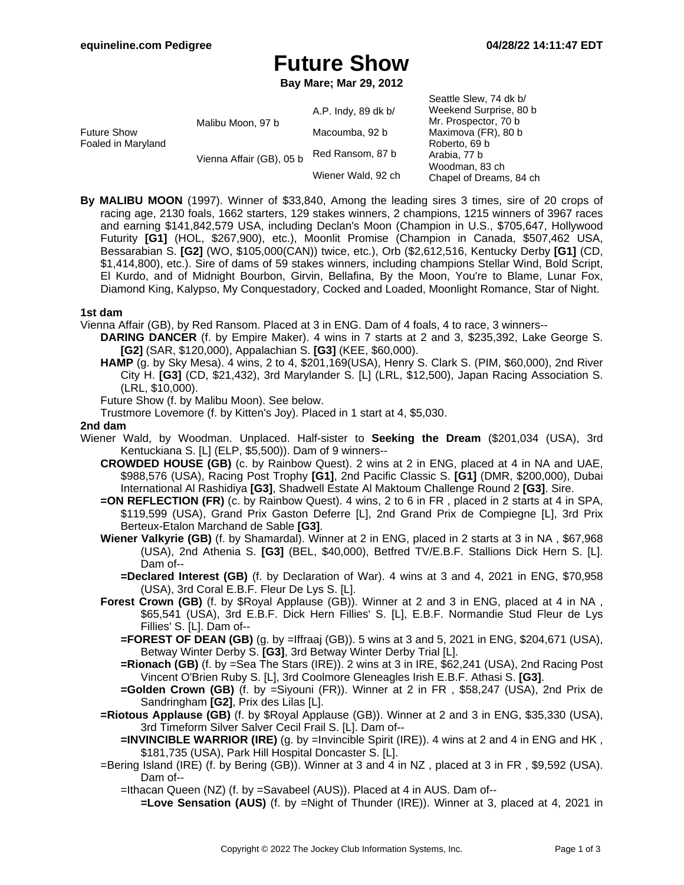# **Future Show**

**Bay Mare; Mar 29, 2012**

| <b>Future Show</b><br>Foaled in Maryland | Malibu Moon, 97 b        | A.P. Indy, 89 dk b/ | Seattle Slew, 74 dk b/<br>Weekend Surprise, 80 b<br>Mr. Prospector, 70 b<br>Maximova (FR), 80 b<br>Roberto, 69 b<br>Arabia, 77 b<br>Woodman, 83 ch<br>Chapel of Dreams, 84 ch |
|------------------------------------------|--------------------------|---------------------|-------------------------------------------------------------------------------------------------------------------------------------------------------------------------------|
|                                          |                          | Macoumba, 92 b      |                                                                                                                                                                               |
|                                          | Vienna Affair (GB), 05 b | Red Ransom, 87 b    |                                                                                                                                                                               |
|                                          |                          | Wiener Wald, 92 ch  |                                                                                                                                                                               |

**By MALIBU MOON** (1997). Winner of \$33,840, Among the leading sires 3 times, sire of 20 crops of racing age, 2130 foals, 1662 starters, 129 stakes winners, 2 champions, 1215 winners of 3967 races and earning \$141,842,579 USA, including Declan's Moon (Champion in U.S., \$705,647, Hollywood Futurity **[G1]** (HOL, \$267,900), etc.), Moonlit Promise (Champion in Canada, \$507,462 USA, Bessarabian S. **[G2]** (WO, \$105,000(CAN)) twice, etc.), Orb (\$2,612,516, Kentucky Derby **[G1]** (CD, \$1,414,800), etc.). Sire of dams of 59 stakes winners, including champions Stellar Wind, Bold Script, El Kurdo, and of Midnight Bourbon, Girvin, Bellafina, By the Moon, You're to Blame, Lunar Fox, Diamond King, Kalypso, My Conquestadory, Cocked and Loaded, Moonlight Romance, Star of Night.

### **1st dam**

Vienna Affair (GB), by Red Ransom. Placed at 3 in ENG. Dam of 4 foals, 4 to race, 3 winners--

- **DARING DANCER** (f. by Empire Maker). 4 wins in 7 starts at 2 and 3, \$235,392, Lake George S. **[G2]** (SAR, \$120,000), Appalachian S. **[G3]** (KEE, \$60,000).
	- **HAMP** (g. by Sky Mesa). 4 wins, 2 to 4, \$201,169(USA), Henry S. Clark S. (PIM, \$60,000), 2nd River City H. **[G3]** (CD, \$21,432), 3rd Marylander S. [L] (LRL, \$12,500), Japan Racing Association S. (LRL, \$10,000).

Future Show (f. by Malibu Moon). See below.

Trustmore Lovemore (f. by Kitten's Joy). Placed in 1 start at 4, \$5,030.

#### **2nd dam**

- Wiener Wald, by Woodman. Unplaced. Half-sister to **Seeking the Dream** (\$201,034 (USA), 3rd Kentuckiana S. [L] (ELP, \$5,500)). Dam of 9 winners--
	- **CROWDED HOUSE (GB)** (c. by Rainbow Quest). 2 wins at 2 in ENG, placed at 4 in NA and UAE, \$988,576 (USA), Racing Post Trophy **[G1]**, 2nd Pacific Classic S. **[G1]** (DMR, \$200,000), Dubai International Al Rashidiya **[G3]**, Shadwell Estate Al Maktoum Challenge Round 2 **[G3]**. Sire.
	- **=ON REFLECTION (FR)** (c. by Rainbow Quest). 4 wins, 2 to 6 in FR , placed in 2 starts at 4 in SPA, \$119,599 (USA), Grand Prix Gaston Deferre [L], 2nd Grand Prix de Compiegne [L], 3rd Prix Berteux-Etalon Marchand de Sable **[G3]**.
	- **Wiener Valkyrie (GB)** (f. by Shamardal). Winner at 2 in ENG, placed in 2 starts at 3 in NA , \$67,968 (USA), 2nd Athenia S. **[G3]** (BEL, \$40,000), Betfred TV/E.B.F. Stallions Dick Hern S. [L]. Dam of--
		- **=Declared Interest (GB)** (f. by Declaration of War). 4 wins at 3 and 4, 2021 in ENG, \$70,958 (USA), 3rd Coral E.B.F. Fleur De Lys S. [L].
	- Forest Crown (GB) (f. by \$Royal Applause (GB)). Winner at 2 and 3 in ENG, placed at 4 in NA, \$65,541 (USA), 3rd E.B.F. Dick Hern Fillies' S. [L], E.B.F. Normandie Stud Fleur de Lys Fillies' S. [L]. Dam of--
		- **=FOREST OF DEAN (GB)** (g. by =Iffraaj (GB)). 5 wins at 3 and 5, 2021 in ENG, \$204,671 (USA), Betway Winter Derby S. **[G3]**, 3rd Betway Winter Derby Trial [L].
		- **=Rionach (GB)** (f. by =Sea The Stars (IRE)). 2 wins at 3 in IRE, \$62,241 (USA), 2nd Racing Post Vincent O'Brien Ruby S. [L], 3rd Coolmore Gleneagles Irish E.B.F. Athasi S. **[G3]**.
		- **=Golden Crown (GB)** (f. by =Siyouni (FR)). Winner at 2 in FR , \$58,247 (USA), 2nd Prix de Sandringham **[G2]**, Prix des Lilas [L].
	- **=Riotous Applause (GB)** (f. by \$Royal Applause (GB)). Winner at 2 and 3 in ENG, \$35,330 (USA), 3rd Timeform Silver Salver Cecil Frail S. [L]. Dam of--
		- **=INVINCIBLE WARRIOR (IRE)** (g. by =Invincible Spirit (IRE)). 4 wins at 2 and 4 in ENG and HK, \$181,735 (USA), Park Hill Hospital Doncaster S. [L].
	- =Bering Island (IRE) (f. by Bering (GB)). Winner at 3 and 4 in NZ , placed at 3 in FR , \$9,592 (USA). Dam of--
		- =Ithacan Queen (NZ) (f. by =Savabeel (AUS)). Placed at 4 in AUS. Dam of--
			- **=Love Sensation (AUS)** (f. by =Night of Thunder (IRE)). Winner at 3, placed at 4, 2021 in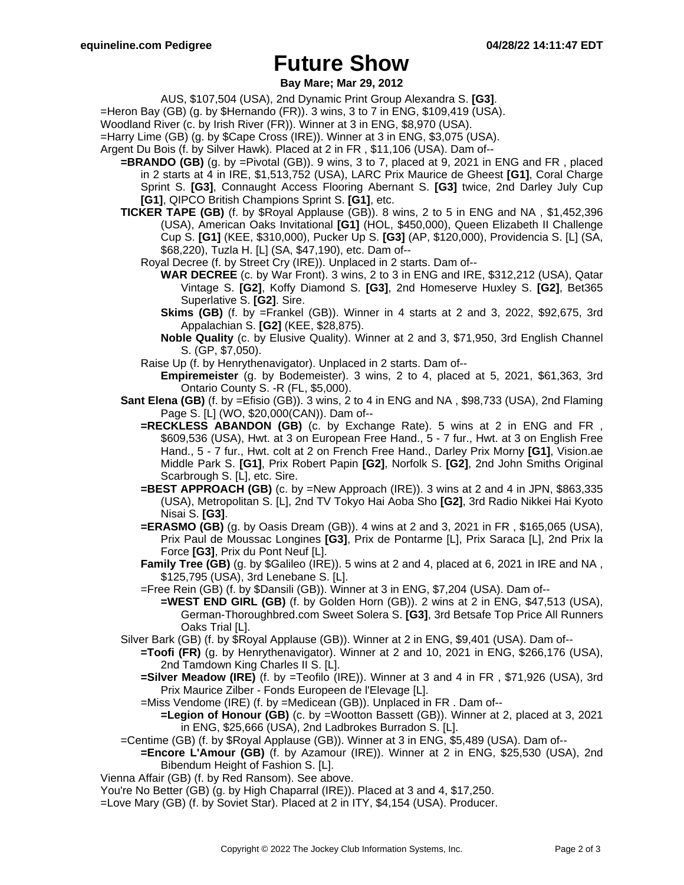## **Future Show**

### **Bay Mare; Mar 29, 2012**

- AUS, \$107,504 (USA), 2nd Dynamic Print Group Alexandra S. **[G3]**.
- $=$ Heron Bay (GB) (g. by \$Hernando (FR)). 3 wins, 3 to 7 in ENG, \$109,419 (USA).
- Woodland River (c. by Irish River (FR)). Winner at 3 in ENG, \$8,970 (USA).
- =Harry Lime (GB) (g. by \$Cape Cross (IRE)). Winner at 3 in ENG, \$3,075 (USA).
- Argent Du Bois (f. by Silver Hawk). Placed at 2 in FR , \$11,106 (USA). Dam of--
	- **=BRANDO (GB)** (g. by =Pivotal (GB)). 9 wins, 3 to 7, placed at 9, 2021 in ENG and FR , placed in 2 starts at 4 in IRE, \$1,513,752 (USA), LARC Prix Maurice de Gheest **[G1]**, Coral Charge Sprint S. **[G3]**, Connaught Access Flooring Abernant S. **[G3]** twice, 2nd Darley July Cup **[G1]**, QIPCO British Champions Sprint S. **[G1]**, etc.
	- **TICKER TAPE (GB)** (f. by \$Royal Applause (GB)). 8 wins, 2 to 5 in ENG and NA , \$1,452,396 (USA), American Oaks Invitational **[G1]** (HOL, \$450,000), Queen Elizabeth II Challenge Cup S. **[G1]** (KEE, \$310,000), Pucker Up S. **[G3]** (AP, \$120,000), Providencia S. [L] (SA, \$68,220), Tuzla H. [L] (SA, \$47,190), etc. Dam of--
		- Royal Decree (f. by Street Cry (IRE)). Unplaced in 2 starts. Dam of--
			- **WAR DECREE** (c. by War Front). 3 wins, 2 to 3 in ENG and IRE, \$312,212 (USA), Qatar Vintage S. **[G2]**, Koffy Diamond S. **[G3]**, 2nd Homeserve Huxley S. **[G2]**, Bet365 Superlative S. **[G2]**. Sire.
			- **Skims (GB)** (f. by =Frankel (GB)). Winner in 4 starts at 2 and 3, 2022, \$92,675, 3rd Appalachian S. **[G2]** (KEE, \$28,875).
			- **Noble Quality** (c. by Elusive Quality). Winner at 2 and 3, \$71,950, 3rd English Channel S. (GP, \$7,050).
		- Raise Up (f. by Henrythenavigator). Unplaced in 2 starts. Dam of--
		- **Empiremeister** (g. by Bodemeister). 3 wins, 2 to 4, placed at 5, 2021, \$61,363, 3rd Ontario County S. -R (FL, \$5,000).
	- **Sant Elena (GB)** (f. by =Efisio (GB)). 3 wins, 2 to 4 in ENG and NA , \$98,733 (USA), 2nd Flaming Page S. [L] (WO, \$20,000(CAN)). Dam of--
		- **=RECKLESS ABANDON (GB)** (c. by Exchange Rate). 5 wins at 2 in ENG and FR , \$609,536 (USA), Hwt. at 3 on European Free Hand., 5 - 7 fur., Hwt. at 3 on English Free Hand., 5 - 7 fur., Hwt. colt at 2 on French Free Hand., Darley Prix Morny **[G1]**, Vision.ae Middle Park S. **[G1]**, Prix Robert Papin **[G2]**, Norfolk S. **[G2]**, 2nd John Smiths Original Scarbrough S. [L], etc. Sire.
		- **=BEST APPROACH (GB)** (c. by =New Approach (IRE)). 3 wins at 2 and 4 in JPN, \$863,335 (USA), Metropolitan S. [L], 2nd TV Tokyo Hai Aoba Sho **[G2]**, 3rd Radio Nikkei Hai Kyoto Nisai S. **[G3]**.
		- **=ERASMO (GB)** (g. by Oasis Dream (GB)). 4 wins at 2 and 3, 2021 in FR , \$165,065 (USA), Prix Paul de Moussac Longines **[G3]**, Prix de Pontarme [L], Prix Saraca [L], 2nd Prix la Force **[G3]**, Prix du Pont Neuf [L].
		- **Family Tree (GB)** (g. by \$Galileo (IRE)). 5 wins at 2 and 4, placed at 6, 2021 in IRE and NA , \$125,795 (USA), 3rd Lenebane S. [L].
		- =Free Rein (GB) (f. by \$Dansili (GB)). Winner at 3 in ENG, \$7,204 (USA). Dam of--
			- **=WEST END GIRL (GB)** (f. by Golden Horn (GB)). 2 wins at 2 in ENG, \$47,513 (USA), German-Thoroughbred.com Sweet Solera S. **[G3]**, 3rd Betsafe Top Price All Runners Oaks Trial [L].
	- Silver Bark (GB) (f. by \$Royal Applause (GB)). Winner at 2 in ENG, \$9,401 (USA). Dam of--
		- **=Toofi (FR)** (g. by Henrythenavigator). Winner at 2 and 10, 2021 in ENG, \$266,176 (USA), 2nd Tamdown King Charles II S. [L].
		- **=Silver Meadow (IRE)** (f. by =Teofilo (IRE)). Winner at 3 and 4 in FR , \$71,926 (USA), 3rd Prix Maurice Zilber - Fonds Europeen de l'Elevage [L].
		- =Miss Vendome (IRE) (f. by =Medicean (GB)). Unplaced in FR . Dam of--
			- **=Legion of Honour (GB)** (c. by =Wootton Bassett (GB)). Winner at 2, placed at 3, 2021 in ENG, \$25,666 (USA), 2nd Ladbrokes Burradon S. [L].
	- =Centime (GB) (f. by \$Royal Applause (GB)). Winner at 3 in ENG, \$5,489 (USA). Dam of--
	- **=Encore L'Amour (GB)** (f. by Azamour (IRE)). Winner at 2 in ENG, \$25,530 (USA), 2nd Bibendum Height of Fashion S. [L].
- Vienna Affair (GB) (f. by Red Ransom). See above.
- You're No Better (GB) (g. by High Chaparral (IRE)). Placed at 3 and 4, \$17,250.
- =Love Mary (GB) (f. by Soviet Star). Placed at 2 in ITY, \$4,154 (USA). Producer.